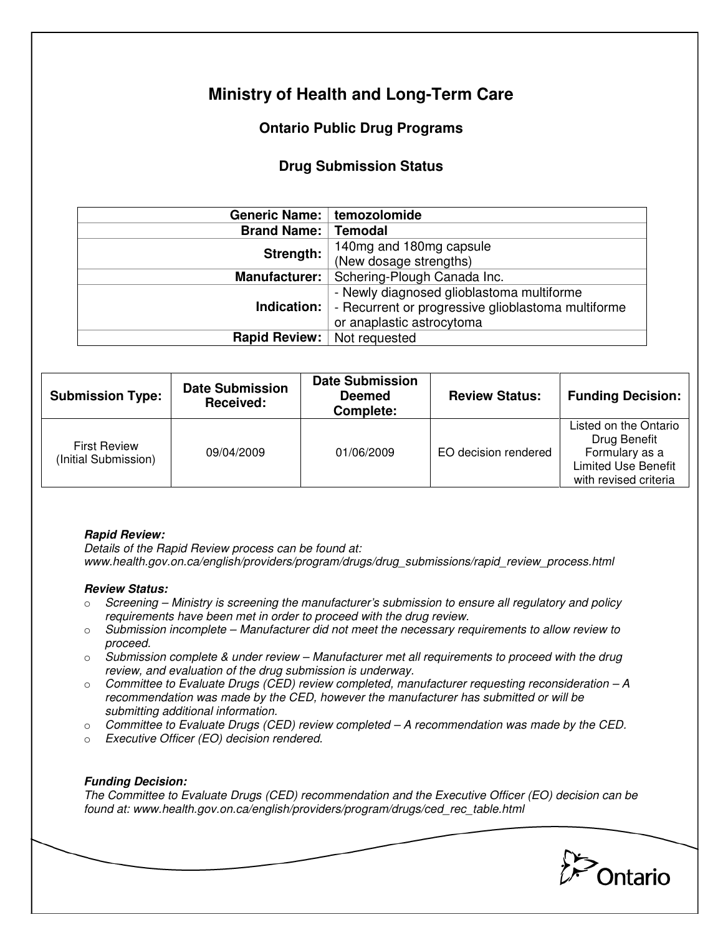# **Ministry of Health and Long-Term Care**

## **Ontario Public Drug Programs**

### **Drug Submission Status**

|                      | Generic Name:   temozolomide                       |  |  |
|----------------------|----------------------------------------------------|--|--|
| <b>Brand Name:</b>   | <b>Temodal</b>                                     |  |  |
| Strength:            | 140mg and 180mg capsule                            |  |  |
|                      | (New dosage strengths)                             |  |  |
| <b>Manufacturer:</b> | Schering-Plough Canada Inc.                        |  |  |
|                      | - Newly diagnosed glioblastoma multiforme          |  |  |
| Indication:          | - Recurrent or progressive glioblastoma multiforme |  |  |
|                      | or anaplastic astrocytoma                          |  |  |
| Rapid Review:        | Not requested                                      |  |  |

| <b>Submission Type:</b>                     | <b>Date Submission</b><br><b>Received:</b> | <b>Date Submission</b><br><b>Deemed</b><br>Complete: | <b>Review Status:</b> | <b>Funding Decision:</b>                                                                                       |
|---------------------------------------------|--------------------------------------------|------------------------------------------------------|-----------------------|----------------------------------------------------------------------------------------------------------------|
| <b>First Review</b><br>(Initial Submission) | 09/04/2009                                 | 01/06/2009                                           | EO decision rendered  | Listed on the Ontario<br>Drug Benefit<br>Formulary as a<br><b>Limited Use Benefit</b><br>with revised criteria |

#### **Rapid Review:**

Details of the Rapid Review process can be found at: www.health.gov.on.ca/english/providers/program/drugs/drug\_submissions/rapid\_review\_process.html

#### **Review Status:**

- $\circ$  Screening Ministry is screening the manufacturer's submission to ensure all regulatory and policy requirements have been met in order to proceed with the drug review.
- $\circ$  Submission incomplete Manufacturer did not meet the necessary requirements to allow review to proceed.
- $\circ$  Submission complete & under review Manufacturer met all requirements to proceed with the drug review, and evaluation of the drug submission is underway.
- $\circ$  Committee to Evaluate Drugs (CED) review completed, manufacturer requesting reconsideration A recommendation was made by the CED, however the manufacturer has submitted or will be submitting additional information.
- $\circ$  Committee to Evaluate Drugs (CED) review completed  $-A$  recommendation was made by the CED.
- o Executive Officer (EO) decision rendered.

### **Funding Decision:**

The Committee to Evaluate Drugs (CED) recommendation and the Executive Officer (EO) decision can be found at: www.health.gov.on.ca/english/providers/program/drugs/ced\_rec\_table.html